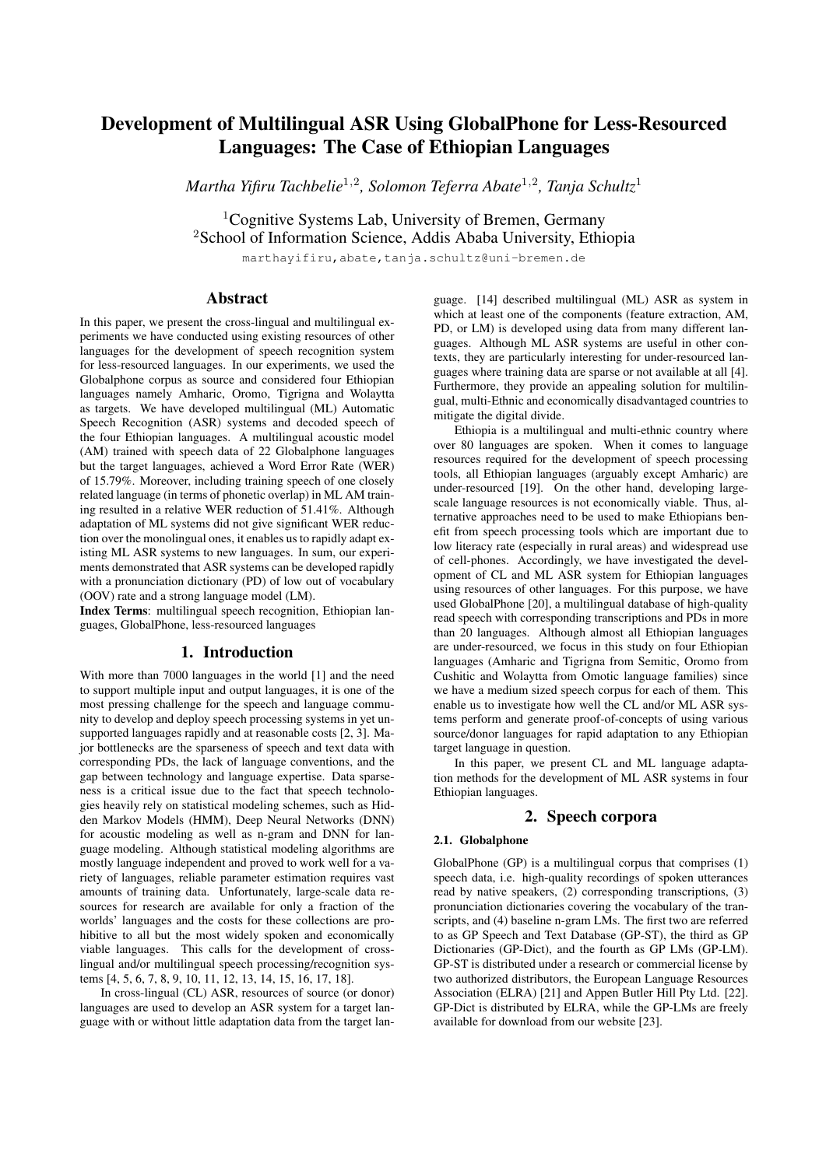# Development of Multilingual ASR Using GlobalPhone for Less-Resourced Languages: The Case of Ethiopian Languages

*Martha Yifiru Tachbelie*<sup>1</sup>,<sup>2</sup> *, Solomon Teferra Abate*<sup>1</sup>,<sup>2</sup> *, Tanja Schultz*<sup>1</sup>

<sup>1</sup>Cognitive Systems Lab, University of Bremen, Germany <sup>2</sup>School of Information Science, Addis Ababa University, Ethiopia

marthayifiru,abate,tanja.schultz@uni-bremen.de

# Abstract

In this paper, we present the cross-lingual and multilingual experiments we have conducted using existing resources of other languages for the development of speech recognition system for less-resourced languages. In our experiments, we used the Globalphone corpus as source and considered four Ethiopian languages namely Amharic, Oromo, Tigrigna and Wolaytta as targets. We have developed multilingual (ML) Automatic Speech Recognition (ASR) systems and decoded speech of the four Ethiopian languages. A multilingual acoustic model (AM) trained with speech data of 22 Globalphone languages but the target languages, achieved a Word Error Rate (WER) of 15.79%. Moreover, including training speech of one closely related language (in terms of phonetic overlap) in ML AM training resulted in a relative WER reduction of 51.41%. Although adaptation of ML systems did not give significant WER reduction over the monolingual ones, it enables us to rapidly adapt existing ML ASR systems to new languages. In sum, our experiments demonstrated that ASR systems can be developed rapidly with a pronunciation dictionary (PD) of low out of vocabulary (OOV) rate and a strong language model (LM).

Index Terms: multilingual speech recognition, Ethiopian languages, GlobalPhone, less-resourced languages

# 1. Introduction

With more than 7000 languages in the world [1] and the need to support multiple input and output languages, it is one of the most pressing challenge for the speech and language community to develop and deploy speech processing systems in yet unsupported languages rapidly and at reasonable costs [2, 3]. Major bottlenecks are the sparseness of speech and text data with corresponding PDs, the lack of language conventions, and the gap between technology and language expertise. Data sparseness is a critical issue due to the fact that speech technologies heavily rely on statistical modeling schemes, such as Hidden Markov Models (HMM), Deep Neural Networks (DNN) for acoustic modeling as well as n-gram and DNN for language modeling. Although statistical modeling algorithms are mostly language independent and proved to work well for a variety of languages, reliable parameter estimation requires vast amounts of training data. Unfortunately, large-scale data resources for research are available for only a fraction of the worlds' languages and the costs for these collections are prohibitive to all but the most widely spoken and economically viable languages. This calls for the development of crosslingual and/or multilingual speech processing/recognition systems [4, 5, 6, 7, 8, 9, 10, 11, 12, 13, 14, 15, 16, 17, 18].

In cross-lingual (CL) ASR, resources of source (or donor) languages are used to develop an ASR system for a target language with or without little adaptation data from the target language. [14] described multilingual (ML) ASR as system in which at least one of the components (feature extraction, AM, PD, or LM) is developed using data from many different languages. Although ML ASR systems are useful in other contexts, they are particularly interesting for under-resourced languages where training data are sparse or not available at all [4]. Furthermore, they provide an appealing solution for multilingual, multi-Ethnic and economically disadvantaged countries to mitigate the digital divide.

Ethiopia is a multilingual and multi-ethnic country where over 80 languages are spoken. When it comes to language resources required for the development of speech processing tools, all Ethiopian languages (arguably except Amharic) are under-resourced [19]. On the other hand, developing largescale language resources is not economically viable. Thus, alternative approaches need to be used to make Ethiopians benefit from speech processing tools which are important due to low literacy rate (especially in rural areas) and widespread use of cell-phones. Accordingly, we have investigated the development of CL and ML ASR system for Ethiopian languages using resources of other languages. For this purpose, we have used GlobalPhone [20], a multilingual database of high-quality read speech with corresponding transcriptions and PDs in more than 20 languages. Although almost all Ethiopian languages are under-resourced, we focus in this study on four Ethiopian languages (Amharic and Tigrigna from Semitic, Oromo from Cushitic and Wolaytta from Omotic language families) since we have a medium sized speech corpus for each of them. This enable us to investigate how well the CL and/or ML ASR systems perform and generate proof-of-concepts of using various source/donor languages for rapid adaptation to any Ethiopian target language in question.

In this paper, we present CL and ML language adaptation methods for the development of ML ASR systems in four Ethiopian languages.

## 2. Speech corpora

## 2.1. Globalphone

GlobalPhone (GP) is a multilingual corpus that comprises (1) speech data, i.e. high-quality recordings of spoken utterances read by native speakers, (2) corresponding transcriptions, (3) pronunciation dictionaries covering the vocabulary of the transcripts, and (4) baseline n-gram LMs. The first two are referred to as GP Speech and Text Database (GP-ST), the third as GP Dictionaries (GP-Dict), and the fourth as GP LMs (GP-LM). GP-ST is distributed under a research or commercial license by two authorized distributors, the European Language Resources Association (ELRA) [21] and Appen Butler Hill Pty Ltd. [22]. GP-Dict is distributed by ELRA, while the GP-LMs are freely available for download from our website [23].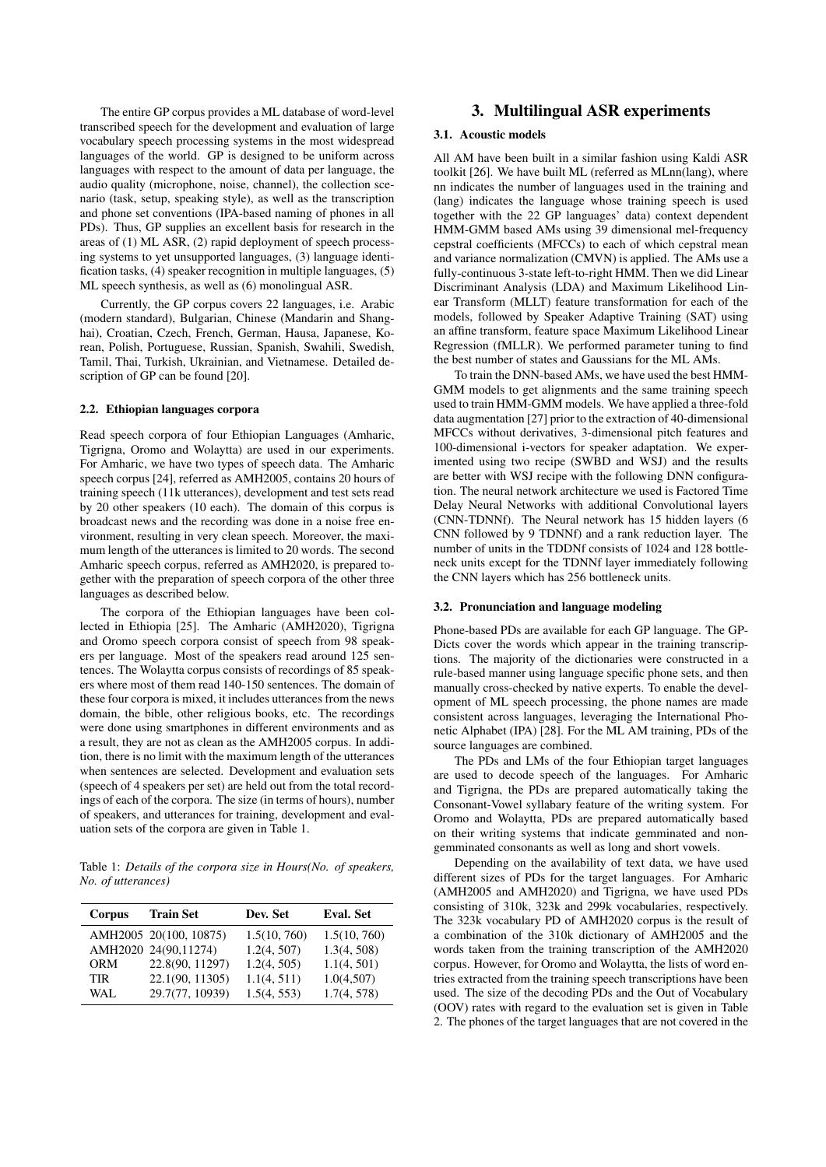The entire GP corpus provides a ML database of word-level transcribed speech for the development and evaluation of large vocabulary speech processing systems in the most widespread languages of the world. GP is designed to be uniform across languages with respect to the amount of data per language, the audio quality (microphone, noise, channel), the collection scenario (task, setup, speaking style), as well as the transcription and phone set conventions (IPA-based naming of phones in all PDs). Thus, GP supplies an excellent basis for research in the areas of (1) ML ASR, (2) rapid deployment of speech processing systems to yet unsupported languages, (3) language identification tasks, (4) speaker recognition in multiple languages, (5) ML speech synthesis, as well as (6) monolingual ASR.

Currently, the GP corpus covers 22 languages, i.e. Arabic (modern standard), Bulgarian, Chinese (Mandarin and Shanghai), Croatian, Czech, French, German, Hausa, Japanese, Korean, Polish, Portuguese, Russian, Spanish, Swahili, Swedish, Tamil, Thai, Turkish, Ukrainian, and Vietnamese. Detailed description of GP can be found [20].

#### 2.2. Ethiopian languages corpora

Read speech corpora of four Ethiopian Languages (Amharic, Tigrigna, Oromo and Wolaytta) are used in our experiments. For Amharic, we have two types of speech data. The Amharic speech corpus [24], referred as AMH2005, contains 20 hours of training speech (11k utterances), development and test sets read by 20 other speakers (10 each). The domain of this corpus is broadcast news and the recording was done in a noise free environment, resulting in very clean speech. Moreover, the maximum length of the utterances is limited to 20 words. The second Amharic speech corpus, referred as AMH2020, is prepared together with the preparation of speech corpora of the other three languages as described below.

The corpora of the Ethiopian languages have been collected in Ethiopia [25]. The Amharic (AMH2020), Tigrigna and Oromo speech corpora consist of speech from 98 speakers per language. Most of the speakers read around 125 sentences. The Wolaytta corpus consists of recordings of 85 speakers where most of them read 140-150 sentences. The domain of these four corpora is mixed, it includes utterances from the news domain, the bible, other religious books, etc. The recordings were done using smartphones in different environments and as a result, they are not as clean as the AMH2005 corpus. In addition, there is no limit with the maximum length of the utterances when sentences are selected. Development and evaluation sets (speech of 4 speakers per set) are held out from the total recordings of each of the corpora. The size (in terms of hours), number of speakers, and utterances for training, development and evaluation sets of the corpora are given in Table 1.

Table 1: *Details of the corpora size in Hours(No. of speakers, No. of utterances)*

| Corpus     | <b>Train Set</b>       | Dev. Set     | Eval. Set    |
|------------|------------------------|--------------|--------------|
|            | AMH2005 20(100, 10875) | 1.5(10, 760) | 1.5(10, 760) |
|            | AMH2020 24(90,11274)   | 1.2(4, 507)  | 1.3(4, 508)  |
| <b>ORM</b> | 22.8(90, 11297)        | 1.2(4, 505)  | 1.1(4, 501)  |
| <b>TIR</b> | 22.1(90, 11305)        | 1.1(4, 511)  | 1.0(4,507)   |
| WAL.       | 29.7(77, 10939)        | 1.5(4, 553)  | 1.7(4, 578)  |

# 3. Multilingual ASR experiments

#### 3.1. Acoustic models

All AM have been built in a similar fashion using Kaldi ASR toolkit [26]. We have built ML (referred as MLnn(lang), where nn indicates the number of languages used in the training and (lang) indicates the language whose training speech is used together with the 22 GP languages' data) context dependent HMM-GMM based AMs using 39 dimensional mel-frequency cepstral coefficients (MFCCs) to each of which cepstral mean and variance normalization (CMVN) is applied. The AMs use a fully-continuous 3-state left-to-right HMM. Then we did Linear Discriminant Analysis (LDA) and Maximum Likelihood Linear Transform (MLLT) feature transformation for each of the models, followed by Speaker Adaptive Training (SAT) using an affine transform, feature space Maximum Likelihood Linear Regression (fMLLR). We performed parameter tuning to find the best number of states and Gaussians for the ML AMs.

To train the DNN-based AMs, we have used the best HMM-GMM models to get alignments and the same training speech used to train HMM-GMM models. We have applied a three-fold data augmentation [27] prior to the extraction of 40-dimensional MFCCs without derivatives, 3-dimensional pitch features and 100-dimensional i-vectors for speaker adaptation. We experimented using two recipe (SWBD and WSJ) and the results are better with WSJ recipe with the following DNN configuration. The neural network architecture we used is Factored Time Delay Neural Networks with additional Convolutional layers (CNN-TDNNf). The Neural network has 15 hidden layers (6 CNN followed by 9 TDNNf) and a rank reduction layer. The number of units in the TDDNf consists of 1024 and 128 bottleneck units except for the TDNNf layer immediately following the CNN layers which has 256 bottleneck units.

#### 3.2. Pronunciation and language modeling

Phone-based PDs are available for each GP language. The GP-Dicts cover the words which appear in the training transcriptions. The majority of the dictionaries were constructed in a rule-based manner using language specific phone sets, and then manually cross-checked by native experts. To enable the development of ML speech processing, the phone names are made consistent across languages, leveraging the International Phonetic Alphabet (IPA) [28]. For the ML AM training, PDs of the source languages are combined.

The PDs and LMs of the four Ethiopian target languages are used to decode speech of the languages. For Amharic and Tigrigna, the PDs are prepared automatically taking the Consonant-Vowel syllabary feature of the writing system. For Oromo and Wolaytta, PDs are prepared automatically based on their writing systems that indicate gemminated and nongemminated consonants as well as long and short vowels.

Depending on the availability of text data, we have used different sizes of PDs for the target languages. For Amharic (AMH2005 and AMH2020) and Tigrigna, we have used PDs consisting of 310k, 323k and 299k vocabularies, respectively. The 323k vocabulary PD of AMH2020 corpus is the result of a combination of the 310k dictionary of AMH2005 and the words taken from the training transcription of the AMH2020 corpus. However, for Oromo and Wolaytta, the lists of word entries extracted from the training speech transcriptions have been used. The size of the decoding PDs and the Out of Vocabulary (OOV) rates with regard to the evaluation set is given in Table 2. The phones of the target languages that are not covered in the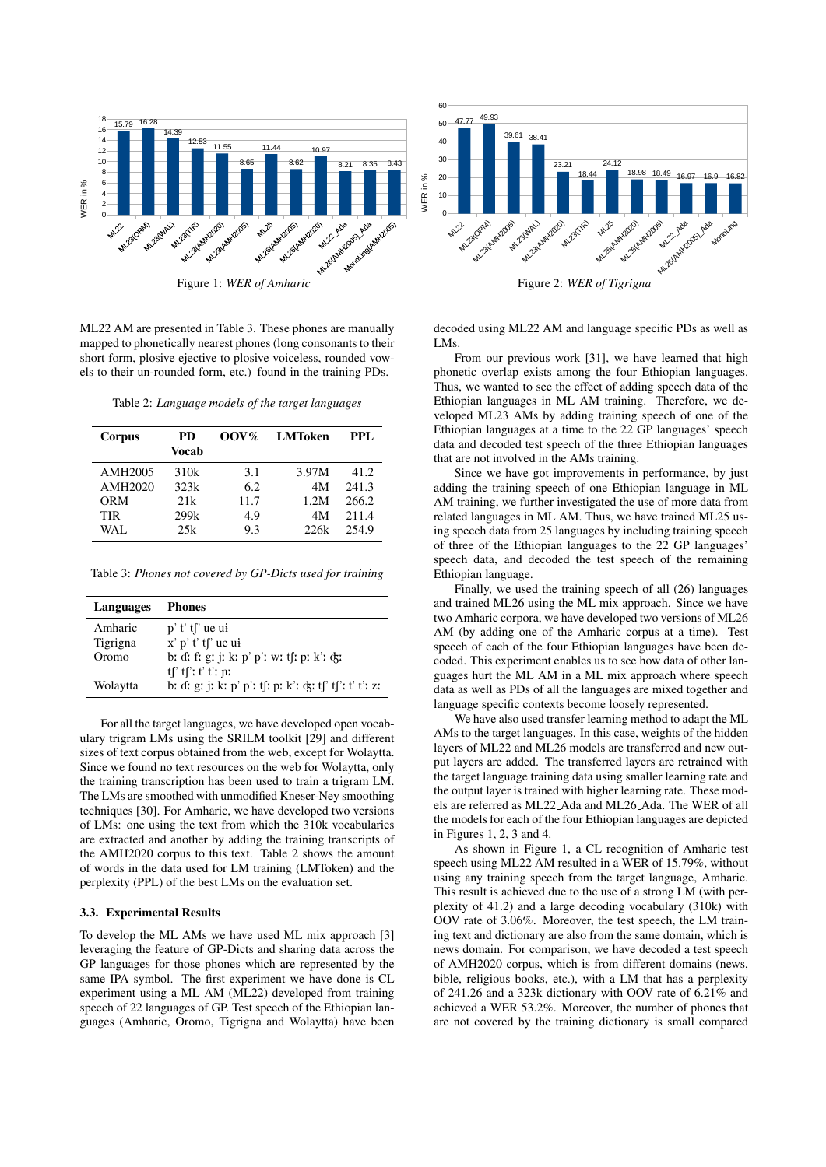

Figure 1: *WER of Amharic*

ML22 AM are presented in Table 3. These phones are manually mapped to phonetically nearest phones (long consonants to their short form, plosive ejective to plosive voiceless, rounded vowels to their un-rounded form, etc.) found in the training PDs.

Table 2: *Language models of the target languages*

| Corpus              | <b>PD</b><br>Vocab | $00V\%$ | <b>LMToken</b> | PPL.  |
|---------------------|--------------------|---------|----------------|-------|
| AMH <sub>2005</sub> | 310k               | 3.1     | 3.97M          | 41.2  |
| AMH2020             | 323k               | 6.2     | 4M             | 241.3 |
| <b>ORM</b>          | 2.1k               | 11.7    | 1.2M           | 266.2 |
| <b>TIR</b>          | 299k               | 4.9     | 4M             | 211.4 |
| WAL.                | 25k                | 9.3     | 22.6k          | 254.9 |

Table 3: *Phones not covered by GP-Dicts used for training*

| Languages | <b>Phones</b>                                           |
|-----------|---------------------------------------------------------|
| Amharic   | $p'$ t' t $\int$ ue ui                                  |
| Tigrigna  | $x'$ p' t' t $\int$ ' ue ui                             |
| Oromo     | b: d: f: g: j: k: p' p': w: tʃ: p: k': d;               |
|           | $tf'$ : $t'$ : $t'$ : $p$ :                             |
| Wolaytta  | b: d: g: j: k: p' p': tʃ: p: k': d;: tʃ' tʃ': t' t': z: |

For all the target languages, we have developed open vocabulary trigram LMs using the SRILM toolkit [29] and different sizes of text corpus obtained from the web, except for Wolaytta. Since we found no text resources on the web for Wolaytta, only the training transcription has been used to train a trigram LM. The LMs are smoothed with unmodified Kneser-Ney smoothing techniques [30]. For Amharic, we have developed two versions of LMs: one using the text from which the 310k vocabularies are extracted and another by adding the training transcripts of the AMH2020 corpus to this text. Table 2 shows the amount of words in the data used for LM training (LMToken) and the perplexity (PPL) of the best LMs on the evaluation set.

#### 3.3. Experimental Results

To develop the ML AMs we have used ML mix approach [3] leveraging the feature of GP-Dicts and sharing data across the GP languages for those phones which are represented by the same IPA symbol. The first experiment we have done is CL experiment using a ML AM (ML22) developed from training speech of 22 languages of GP. Test speech of the Ethiopian languages (Amharic, Oromo, Tigrigna and Wolaytta) have been



decoded using ML22 AM and language specific PDs as well as LMs.

From our previous work [31], we have learned that high phonetic overlap exists among the four Ethiopian languages. Thus, we wanted to see the effect of adding speech data of the Ethiopian languages in ML AM training. Therefore, we developed ML23 AMs by adding training speech of one of the Ethiopian languages at a time to the 22 GP languages' speech data and decoded test speech of the three Ethiopian languages that are not involved in the AMs training.

Since we have got improvements in performance, by just adding the training speech of one Ethiopian language in ML AM training, we further investigated the use of more data from related languages in ML AM. Thus, we have trained ML25 using speech data from 25 languages by including training speech of three of the Ethiopian languages to the 22 GP languages' speech data, and decoded the test speech of the remaining Ethiopian language.

Finally, we used the training speech of all (26) languages and trained ML26 using the ML mix approach. Since we have two Amharic corpora, we have developed two versions of ML26 AM (by adding one of the Amharic corpus at a time). Test speech of each of the four Ethiopian languages have been decoded. This experiment enables us to see how data of other languages hurt the ML AM in a ML mix approach where speech data as well as PDs of all the languages are mixed together and language specific contexts become loosely represented.

We have also used transfer learning method to adapt the ML AMs to the target languages. In this case, weights of the hidden layers of ML22 and ML26 models are transferred and new output layers are added. The transferred layers are retrained with the target language training data using smaller learning rate and the output layer is trained with higher learning rate. These models are referred as ML22 Ada and ML26 Ada. The WER of all the models for each of the four Ethiopian languages are depicted in Figures 1, 2, 3 and 4.

As shown in Figure 1, a CL recognition of Amharic test speech using ML22 AM resulted in a WER of 15.79%, without using any training speech from the target language, Amharic. This result is achieved due to the use of a strong LM (with perplexity of 41.2) and a large decoding vocabulary (310k) with OOV rate of 3.06%. Moreover, the test speech, the LM training text and dictionary are also from the same domain, which is news domain. For comparison, we have decoded a test speech of AMH2020 corpus, which is from different domains (news, bible, religious books, etc.), with a LM that has a perplexity of 241.26 and a 323k dictionary with OOV rate of 6.21% and achieved a WER 53.2%. Moreover, the number of phones that are not covered by the training dictionary is small compared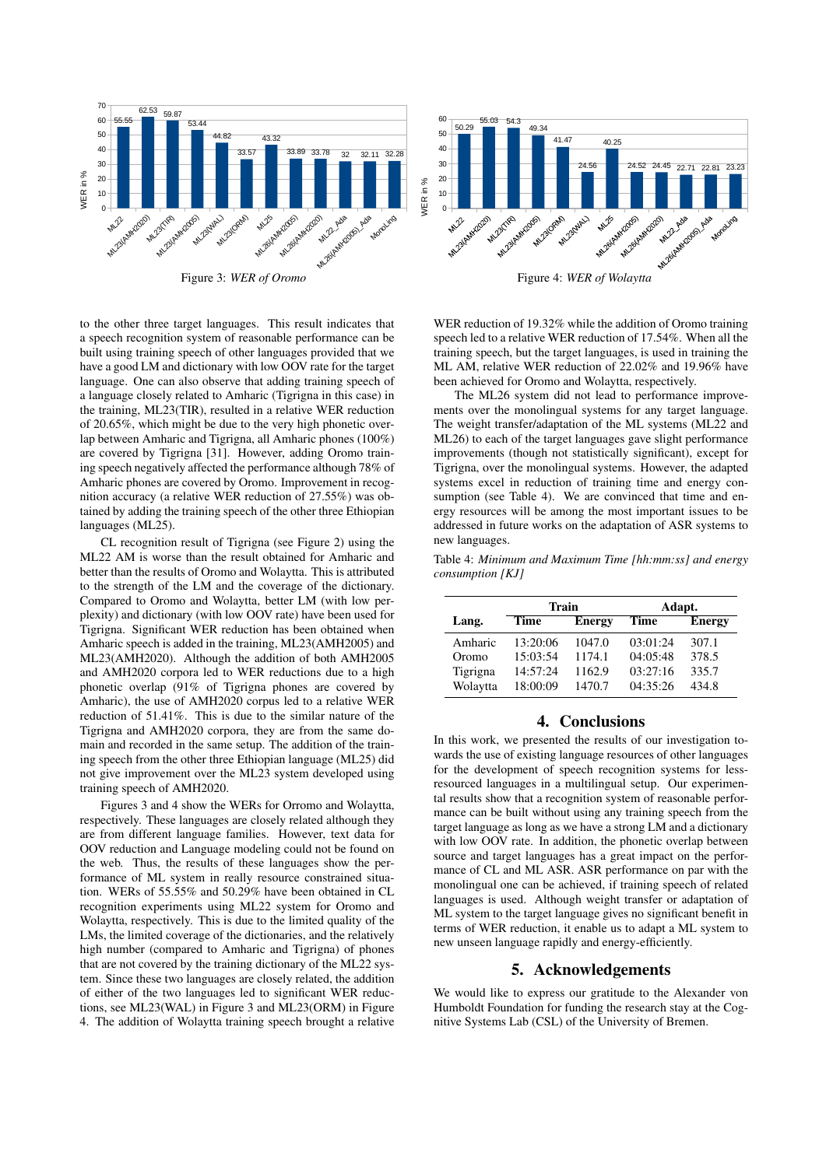

Figure 3: *WER of Oromo*

to the other three target languages. This result indicates that a speech recognition system of reasonable performance can be built using training speech of other languages provided that we have a good LM and dictionary with low OOV rate for the target language. One can also observe that adding training speech of a language closely related to Amharic (Tigrigna in this case) in the training, ML23(TIR), resulted in a relative WER reduction of 20.65%, which might be due to the very high phonetic overlap between Amharic and Tigrigna, all Amharic phones (100%) are covered by Tigrigna [31]. However, adding Oromo training speech negatively affected the performance although 78% of Amharic phones are covered by Oromo. Improvement in recognition accuracy (a relative WER reduction of 27.55%) was obtained by adding the training speech of the other three Ethiopian languages (ML25).

CL recognition result of Tigrigna (see Figure 2) using the ML22 AM is worse than the result obtained for Amharic and better than the results of Oromo and Wolaytta. This is attributed to the strength of the LM and the coverage of the dictionary. Compared to Oromo and Wolaytta, better LM (with low perplexity) and dictionary (with low OOV rate) have been used for Tigrigna. Significant WER reduction has been obtained when Amharic speech is added in the training, ML23(AMH2005) and ML23(AMH2020). Although the addition of both AMH2005 and AMH2020 corpora led to WER reductions due to a high phonetic overlap (91% of Tigrigna phones are covered by Amharic), the use of AMH2020 corpus led to a relative WER reduction of 51.41%. This is due to the similar nature of the Tigrigna and AMH2020 corpora, they are from the same domain and recorded in the same setup. The addition of the training speech from the other three Ethiopian language (ML25) did not give improvement over the ML23 system developed using training speech of AMH2020.

Figures 3 and 4 show the WERs for Orromo and Wolaytta, respectively. These languages are closely related although they are from different language families. However, text data for OOV reduction and Language modeling could not be found on the web. Thus, the results of these languages show the performance of ML system in really resource constrained situation. WERs of 55.55% and 50.29% have been obtained in CL recognition experiments using ML22 system for Oromo and Wolaytta, respectively. This is due to the limited quality of the LMs, the limited coverage of the dictionaries, and the relatively high number (compared to Amharic and Tigrigna) of phones that are not covered by the training dictionary of the ML22 system. Since these two languages are closely related, the addition of either of the two languages led to significant WER reductions, see ML23(WAL) in Figure 3 and ML23(ORM) in Figure 4. The addition of Wolaytta training speech brought a relative



WER reduction of 19.32% while the addition of Oromo training speech led to a relative WER reduction of 17.54%. When all the training speech, but the target languages, is used in training the ML AM, relative WER reduction of 22.02% and 19.96% have

been achieved for Oromo and Wolaytta, respectively. The ML26 system did not lead to performance improvements over the monolingual systems for any target language. The weight transfer/adaptation of the ML systems (ML22 and ML26) to each of the target languages gave slight performance improvements (though not statistically significant), except for Tigrigna, over the monolingual systems. However, the adapted systems excel in reduction of training time and energy consumption (see Table 4). We are convinced that time and energy resources will be among the most important issues to be addressed in future works on the adaptation of ASR systems to new languages.

Table 4: *Minimum and Maximum Time [hh:mm:ss] and energy consumption [KJ]*

|          | Train    |               | Adapt.   |               |
|----------|----------|---------------|----------|---------------|
| Lang.    | Time     | <b>Energy</b> | Time     | <b>Energy</b> |
| Amharic  | 13:20:06 | 1047.0        | 03:01:24 | 307.1         |
| Oromo    | 15:03:54 | 1174.1        | 04:05:48 | 378.5         |
| Tigrigna | 14:57:24 | 1162.9        | 03:27:16 | 335.7         |
| Wolaytta | 18:00:09 | 1470.7        | 04:35:26 | 434.8         |

# 4. Conclusions

In this work, we presented the results of our investigation towards the use of existing language resources of other languages for the development of speech recognition systems for lessresourced languages in a multilingual setup. Our experimental results show that a recognition system of reasonable performance can be built without using any training speech from the target language as long as we have a strong LM and a dictionary with low OOV rate. In addition, the phonetic overlap between source and target languages has a great impact on the performance of CL and ML ASR. ASR performance on par with the monolingual one can be achieved, if training speech of related languages is used. Although weight transfer or adaptation of ML system to the target language gives no significant benefit in terms of WER reduction, it enable us to adapt a ML system to new unseen language rapidly and energy-efficiently.

## 5. Acknowledgements

We would like to express our gratitude to the Alexander von Humboldt Foundation for funding the research stay at the Cognitive Systems Lab (CSL) of the University of Bremen.